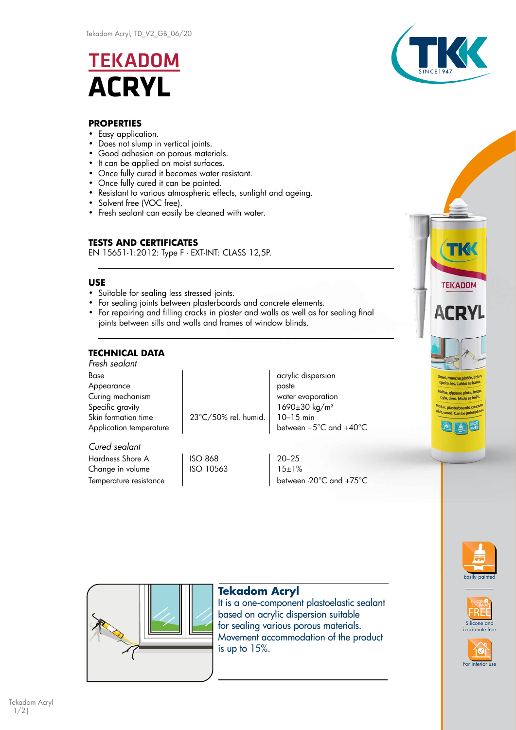# **TEKADOM ACRYL**



# **PROPERTIES**

- Easy application.
- Does not slump in vertical joints.
- Good adhesion on porous materials.
- It can be applied on moist surfaces.
- Once fully cured it becomes water resistant.
- Once fully cured it can be painted.
- Resistant to various atmospheric effects, sunlight and ageing.
- Solvent free (VOC free).
- Fresh sealant can easily be cleaned with water.

# **TESTS AND CERTIFICATES**

EN 15651-1:2012: Type F - EXT-INT: CLASS 12,5P.

## **USE**

- Suitable for sealing less stressed joints.
- For sealing joints between plasterboards and concrete elements.
- For repairing and filling cracks in plaster and walls as well as for sealing final joints between sills and walls and frames of window blinds.

# **TECHNICAL DATA**

| Fresh sealant           |                      |                                 |
|-------------------------|----------------------|---------------------------------|
| Base                    |                      | acrylic dispersion              |
| Appearance              |                      | paste                           |
| Curing mechanism        |                      | water evaporation               |
| Specific gravity        |                      | $1690 \pm 30$ kg/m <sup>3</sup> |
| Skin formation time     | 23°C/50% rel. humid. | $10 - 15$ min                   |
| Application temperature |                      | between +5°C and +40°C          |
| Cured sealant           |                      |                                 |
| Hardness Shore A        | ISO 868              | $20 - 25$                       |

Change in volume  $\vert$  ISO 10563  $\vert$  15±1% Temperature resistance density between -20°C and +75°C





For interior us

Silicone and izocianate free



# **Tekadom Acryl**

It is a one-component plastoelastic sealant based on acrylic dispersion suitable for sealing various porous materials. Movement accommodation of the product is up to 15%.